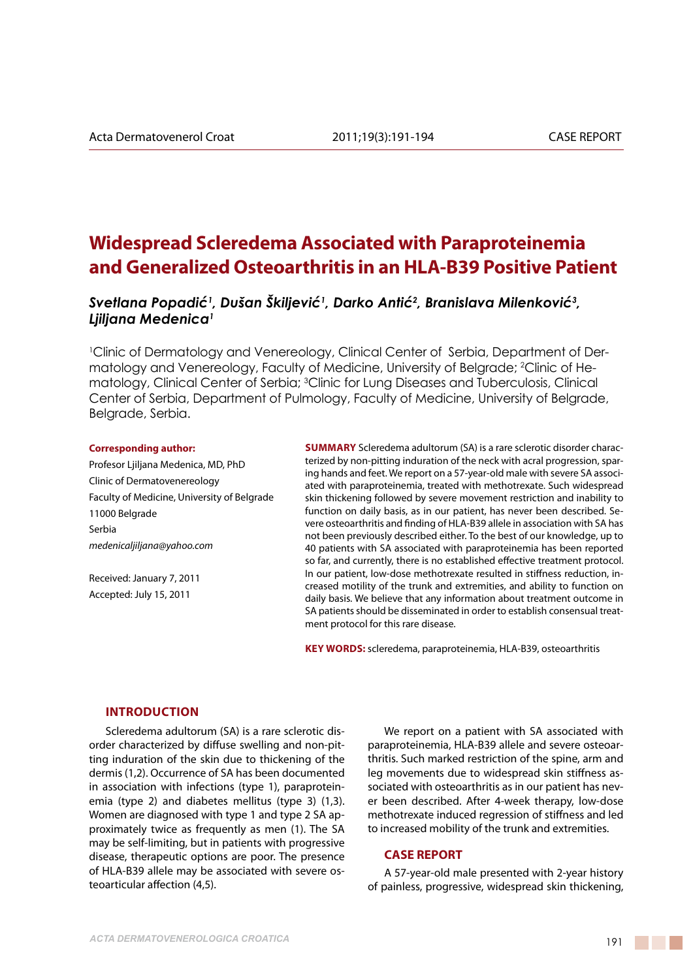# **Widespread Scleredema Associated with Paraproteinemia and Generalized Osteoarthritis in an HLA-B39 Positive Patient**

*Svetlana Popadić<sup>1</sup> , Dušan Škiljević<sup>1</sup> , Darko Antić<sup>2</sup> , Branislava Milenković<sup>3</sup> , Ljiljana Medenica1*

1 Clinic of Dermatology and Venereology, Clinical Center of Serbia, Department of Dermatology and Venereology, Faculty of Medicine, University of Belgrade; 2 Clinic of Hematology, Clinical Center of Serbia; <sup>3</sup>Clinic for Lung Diseases and Tuberculosis, Clinical Center of Serbia, Department of Pulmology, Faculty of Medicine, University of Belgrade, Belgrade, Serbia.

#### **Corresponding author:**

Profesor Ljiljana Medenica, MD, PhD Clinic of Dermatovenereology Faculty of Medicine, University of Belgrade 11000 Belgrade Serbia *medenicaljiljana@yahoo.com*

Received: January 7, 2011 Accepted: July 15, 2011

**SUMMARY** Scleredema adultorum (SA) is a rare sclerotic disorder characterized by non-pitting induration of the neck with acral progression, sparing hands and feet. We report on a 57-year-old male with severe SA associated with paraproteinemia, treated with methotrexate. Such widespread skin thickening followed by severe movement restriction and inability to function on daily basis, as in our patient, has never been described. Severe osteoarthritis and finding of HLA-B39 allele in association with SA has not been previously described either. To the best of our knowledge, up to 40 patients with SA associated with paraproteinemia has been reported so far, and currently, there is no established effective treatment protocol. In our patient, low-dose methotrexate resulted in stiffness reduction, increased motility of the trunk and extremities, and ability to function on daily basis. We believe that any information about treatment outcome in SA patients should be disseminated in order to establish consensual treatment protocol for this rare disease.

**Key words:** scleredema, paraproteinemia, HLA-B39, osteoarthritis

## **Introduction**

Scleredema adultorum (SA) is a rare sclerotic disorder characterized by diffuse swelling and non-pitting induration of the skin due to thickening of the dermis (1,2). Occurrence of SA has been documented in association with infections (type 1), paraproteinemia (type 2) and diabetes mellitus (type 3) (1,3). Women are diagnosed with type 1 and type 2 SA approximately twice as frequently as men (1). The SA may be self-limiting, but in patients with progressive disease, therapeutic options are poor. The presence of HLA-B39 allele may be associated with severe osteoarticular affection (4,5).

We report on a patient with SA associated with paraproteinemia, HLA-B39 allele and severe osteoarthritis. Such marked restriction of the spine, arm and leg movements due to widespread skin stiffness associated with osteoarthritis as in our patient has never been described. After 4-week therapy, low-dose methotrexate induced regression of stiffness and led to increased mobility of the trunk and extremities.

### **CASE REPORT**

A 57-year-old male presented with 2-year history of painless, progressive, widespread skin thickening,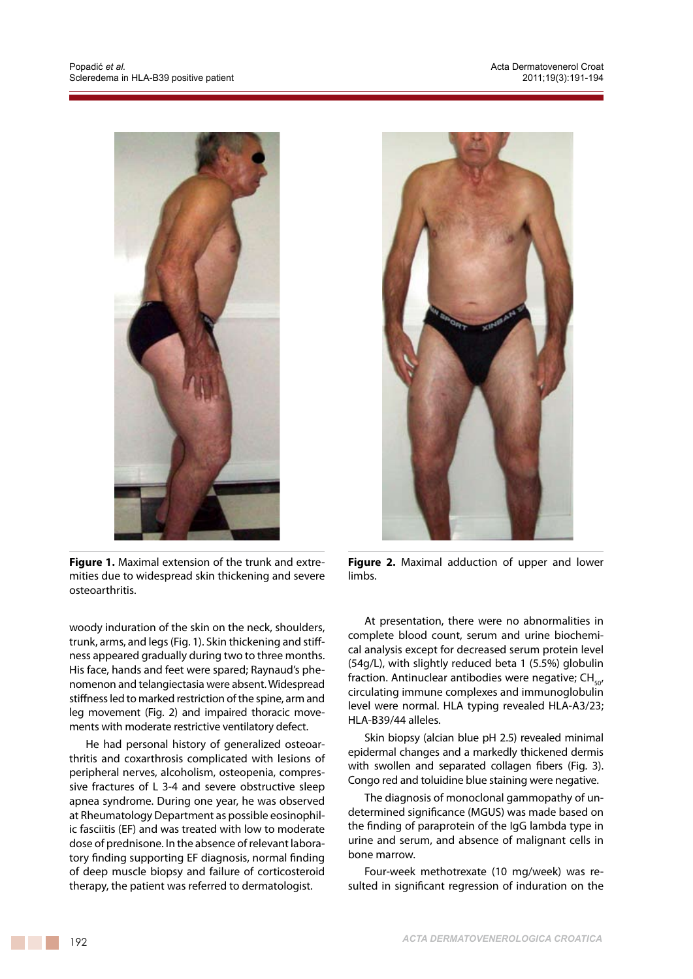

**Figure 1.** Maximal extension of the trunk and extremities due to widespread skin thickening and severe osteoarthritis.

woody induration of the skin on the neck, shoulders, trunk, arms, and legs (Fig. 1). Skin thickening and stiffness appeared gradually during two to three months. His face, hands and feet were spared; Raynaud's phenomenon and telangiectasia were absent. Widespread stiffness led to marked restriction of the spine, arm and leg movement (Fig. 2) and impaired thoracic movements with moderate restrictive ventilatory defect.

He had personal history of generalized osteoarthritis and coxarthrosis complicated with lesions of peripheral nerves, alcoholism, osteopenia, compressive fractures of L 3-4 and severe obstructive sleep apnea syndrome. During one year, he was observed at Rheumatology Department as possible eosinophilic fasciitis (EF) and was treated with low to moderate dose of prednisone. In the absence of relevant laboratory finding supporting EF diagnosis, normal finding of deep muscle biopsy and failure of corticosteroid therapy, the patient was referred to dermatologist.



**Figure 2.** Maximal adduction of upper and lower limbs.

At presentation, there were no abnormalities in complete blood count, serum and urine biochemical analysis except for decreased serum protein level (54g/L), with slightly reduced beta 1 (5.5%) globulin fraction. Antinuclear antibodies were negative;  $CH_{50}$ circulating immune complexes and immunoglobulin level were normal. HLA typing revealed HLA-A3/23; HLA-B39/44 alleles.

Skin biopsy (alcian blue pH 2.5) revealed minimal epidermal changes and a markedly thickened dermis with swollen and separated collagen fibers (Fig. 3). Congo red and toluidine blue staining were negative.

The diagnosis of monoclonal gammopathy of undetermined significance (MGUS) was made based on the finding of paraprotein of the IgG lambda type in urine and serum, and absence of malignant cells in bone marrow.

Four-week methotrexate (10 mg/week) was resulted in significant regression of induration on the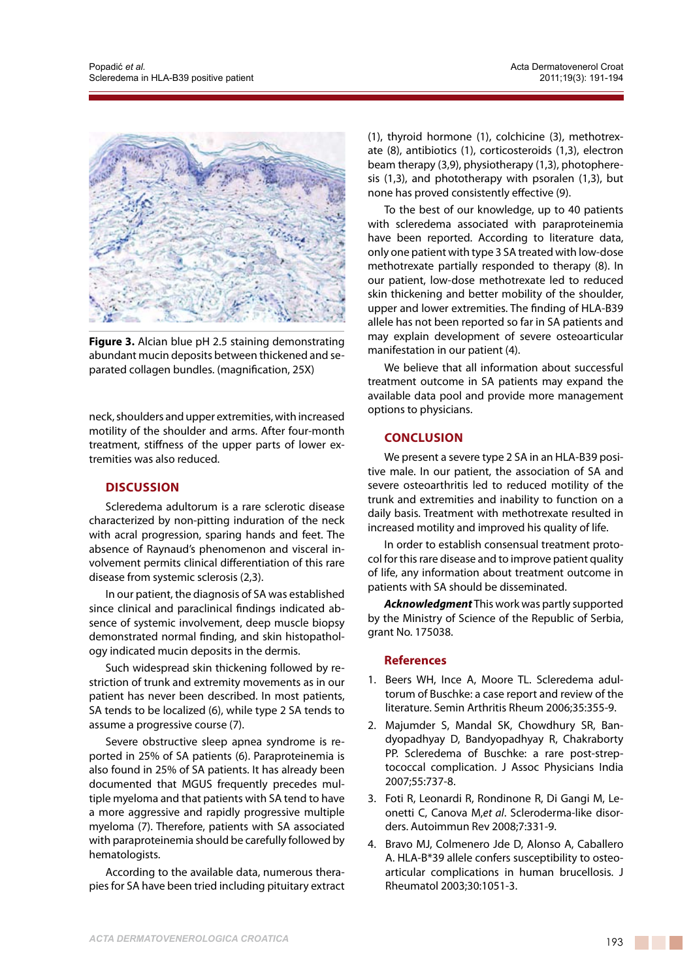

**Figure 3.** Alcian blue pH 2.5 staining demonstrating abundant mucin deposits between thickened and separated collagen bundles. (magnification, 25X)

neck, shoulders and upper extremities, with increased motility of the shoulder and arms. After four-month treatment, stiffness of the upper parts of lower extremities was also reduced.

## **Discussion**

Scleredema adultorum is a rare sclerotic disease characterized by non-pitting induration of the neck with acral progression, sparing hands and feet. The absence of Raynaud's phenomenon and visceral involvement permits clinical differentiation of this rare disease from systemic sclerosis (2,3).

In our patient, the diagnosis of SA was established since clinical and paraclinical findings indicated absence of systemic involvement, deep muscle biopsy demonstrated normal finding, and skin histopathology indicated mucin deposits in the dermis.

Such widespread skin thickening followed by restriction of trunk and extremity movements as in our patient has never been described. In most patients, SA tends to be localized (6), while type 2 SA tends to assume a progressive course (7).

Severe obstructive sleep apnea syndrome is reported in 25% of SA patients (6). Paraproteinemia is also found in 25% of SA patients. It has already been documented that MGUS frequently precedes multiple myeloma and that patients with SA tend to have a more aggressive and rapidly progressive multiple myeloma (7). Therefore, patients with SA associated with paraproteinemia should be carefully followed by hematologists.

According to the available data, numerous therapies for SA have been tried including pituitary extract (1), thyroid hormone (1), colchicine (3), methotrexate (8), antibiotics (1), corticosteroids (1,3), electron beam therapy (3,9), physiotherapy (1,3), photopheresis (1,3), and phototherapy with psoralen (1,3), but none has proved consistently effective (9).

To the best of our knowledge, up to 40 patients with scleredema associated with paraproteinemia have been reported. According to literature data, only one patient with type 3 SA treated with low-dose methotrexate partially responded to therapy (8). In our patient, low-dose methotrexate led to reduced skin thickening and better mobility of the shoulder, upper and lower extremities. The finding of HLA-B39 allele has not been reported so far in SA patients and may explain development of severe osteoarticular manifestation in our patient (4).

We believe that all information about successful treatment outcome in SA patients may expand the available data pool and provide more management options to physicians.

## **Conclusion**

We present a severe type 2 SA in an HLA-B39 positive male. In our patient, the association of SA and severe osteoarthritis led to reduced motility of the trunk and extremities and inability to function on a daily basis. Treatment with methotrexate resulted in increased motility and improved his quality of life.

In order to establish consensual treatment protocol for this rare disease and to improve patient quality of life, any information about treatment outcome in patients with SA should be disseminated.

*Acknowledgment* This work was partly supported by the Ministry of Science of the Republic of Serbia, grant No. 175038.

## **References**

- 1. Beers WH, Ince A, Moore TL. Scleredema adultorum of Buschke: a case report and review of the literature. Semin Arthritis Rheum 2006;35:355-9.
- 2. Majumder S, Mandal SK, Chowdhury SR, Bandyopadhyay D, Bandyopadhyay R, Chakraborty PP. Scleredema of Buschke: a rare post-streptococcal complication. J Assoc Physicians India 2007;55:737-8.
- 3. Foti R, Leonardi R, Rondinone R, Di Gangi M, Leonetti C, Canova M,*et al*. Scleroderma-like disorders. Autoimmun Rev 2008;7:331-9.
- 4. Bravo MJ, Colmenero Jde D, Alonso A, Caballero A. HLA-B\*39 allele confers susceptibility to osteoarticular complications in human brucellosis. J Rheumatol 2003;30:1051-3.

**The Company**